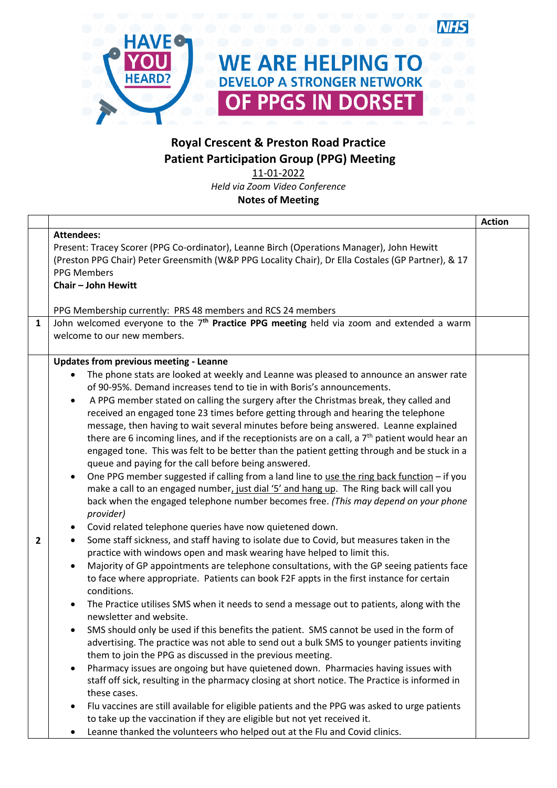

## **Royal Crescent & Preston Road Practice Patient Participation Group (PPG) Meeting**

11-01-2022 *Held via Zoom Video Conference* **Notes of Meeting**

|              |                                                                                                                                                                                                                                                                                                                                                                                                                                                                                                                                                                                                                                                                                                                                                                                                                                                                                                                                                                                                                                                                                                                                                                                                                                                                                                                                                                                                                                                                                                                                                                                                                                                                                                                                                                                                                                                                                                                                                                                                                                                                                                                                                                                                                                                                                                                                                                                                                               | <b>Action</b> |
|--------------|-------------------------------------------------------------------------------------------------------------------------------------------------------------------------------------------------------------------------------------------------------------------------------------------------------------------------------------------------------------------------------------------------------------------------------------------------------------------------------------------------------------------------------------------------------------------------------------------------------------------------------------------------------------------------------------------------------------------------------------------------------------------------------------------------------------------------------------------------------------------------------------------------------------------------------------------------------------------------------------------------------------------------------------------------------------------------------------------------------------------------------------------------------------------------------------------------------------------------------------------------------------------------------------------------------------------------------------------------------------------------------------------------------------------------------------------------------------------------------------------------------------------------------------------------------------------------------------------------------------------------------------------------------------------------------------------------------------------------------------------------------------------------------------------------------------------------------------------------------------------------------------------------------------------------------------------------------------------------------------------------------------------------------------------------------------------------------------------------------------------------------------------------------------------------------------------------------------------------------------------------------------------------------------------------------------------------------------------------------------------------------------------------------------------------------|---------------|
|              | <b>Attendees:</b><br>Present: Tracey Scorer (PPG Co-ordinator), Leanne Birch (Operations Manager), John Hewitt<br>(Preston PPG Chair) Peter Greensmith (W&P PPG Locality Chair), Dr Ella Costales (GP Partner), & 17<br><b>PPG Members</b><br><b>Chair - John Hewitt</b>                                                                                                                                                                                                                                                                                                                                                                                                                                                                                                                                                                                                                                                                                                                                                                                                                                                                                                                                                                                                                                                                                                                                                                                                                                                                                                                                                                                                                                                                                                                                                                                                                                                                                                                                                                                                                                                                                                                                                                                                                                                                                                                                                      |               |
|              |                                                                                                                                                                                                                                                                                                                                                                                                                                                                                                                                                                                                                                                                                                                                                                                                                                                                                                                                                                                                                                                                                                                                                                                                                                                                                                                                                                                                                                                                                                                                                                                                                                                                                                                                                                                                                                                                                                                                                                                                                                                                                                                                                                                                                                                                                                                                                                                                                               |               |
|              | PPG Membership currently: PRS 48 members and RCS 24 members                                                                                                                                                                                                                                                                                                                                                                                                                                                                                                                                                                                                                                                                                                                                                                                                                                                                                                                                                                                                                                                                                                                                                                                                                                                                                                                                                                                                                                                                                                                                                                                                                                                                                                                                                                                                                                                                                                                                                                                                                                                                                                                                                                                                                                                                                                                                                                   |               |
| $\mathbf{1}$ | John welcomed everyone to the 7 <sup>th</sup> Practice PPG meeting held via zoom and extended a warm<br>welcome to our new members.                                                                                                                                                                                                                                                                                                                                                                                                                                                                                                                                                                                                                                                                                                                                                                                                                                                                                                                                                                                                                                                                                                                                                                                                                                                                                                                                                                                                                                                                                                                                                                                                                                                                                                                                                                                                                                                                                                                                                                                                                                                                                                                                                                                                                                                                                           |               |
| 2            | <b>Updates from previous meeting - Leanne</b><br>The phone stats are looked at weekly and Leanne was pleased to announce an answer rate<br>of 90-95%. Demand increases tend to tie in with Boris's announcements.<br>A PPG member stated on calling the surgery after the Christmas break, they called and<br>$\bullet$<br>received an engaged tone 23 times before getting through and hearing the telephone<br>message, then having to wait several minutes before being answered. Leanne explained<br>there are 6 incoming lines, and if the receptionists are on a call, a $7th$ patient would hear an<br>engaged tone. This was felt to be better than the patient getting through and be stuck in a<br>queue and paying for the call before being answered.<br>One PPG member suggested if calling from a land line to use the ring back function - if you<br>$\bullet$<br>make a call to an engaged number, just dial '5' and hang up. The Ring back will call you<br>back when the engaged telephone number becomes free. (This may depend on your phone<br>provider)<br>Covid related telephone queries have now quietened down.<br>Some staff sickness, and staff having to isolate due to Covid, but measures taken in the<br>$\bullet$<br>practice with windows open and mask wearing have helped to limit this.<br>Majority of GP appointments are telephone consultations, with the GP seeing patients face<br>$\bullet$<br>to face where appropriate. Patients can book F2F appts in the first instance for certain<br>conditions.<br>The Practice utilises SMS when it needs to send a message out to patients, along with the<br>$\bullet$<br>newsletter and website.<br>SMS should only be used if this benefits the patient. SMS cannot be used in the form of<br>advertising. The practice was not able to send out a bulk SMS to younger patients inviting<br>them to join the PPG as discussed in the previous meeting.<br>Pharmacy issues are ongoing but have quietened down. Pharmacies having issues with<br>$\bullet$<br>staff off sick, resulting in the pharmacy closing at short notice. The Practice is informed in<br>these cases.<br>Flu vaccines are still available for eligible patients and the PPG was asked to urge patients<br>to take up the vaccination if they are eligible but not yet received it.<br>Leanne thanked the volunteers who helped out at the Flu and Covid clinics. |               |